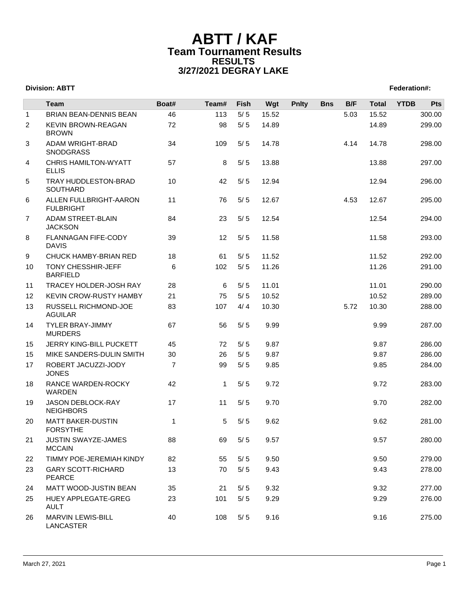|                | <b>Team</b>                                 | Boat#          | Team#        | Fish  | Wgt   | <b>Pnlty</b> | <b>Bns</b> | B/F  | <b>Total</b> | <b>YTDB</b> | Pts    |
|----------------|---------------------------------------------|----------------|--------------|-------|-------|--------------|------------|------|--------------|-------------|--------|
| $\mathbf{1}$   | <b>BRIAN BEAN-DENNIS BEAN</b>               | 46             | 113          | 5/5   | 15.52 |              |            | 5.03 | 15.52        |             | 300.00 |
| $\overline{2}$ | KEVIN BROWN-REAGAN<br><b>BROWN</b>          | 72             | 98           | $5/5$ | 14.89 |              |            |      | 14.89        |             | 299.00 |
| 3              | ADAM WRIGHT-BRAD<br><b>SNODGRASS</b>        | 34             | 109          | 5/5   | 14.78 |              |            | 4.14 | 14.78        |             | 298.00 |
| 4              | <b>CHRIS HAMILTON-WYATT</b><br><b>ELLIS</b> | 57             | 8            | 5/5   | 13.88 |              |            |      | 13.88        |             | 297.00 |
| 5              | TRAY HUDDLESTON-BRAD<br>SOUTHARD            | 10             | 42           | 5/5   | 12.94 |              |            |      | 12.94        |             | 296.00 |
| 6              | ALLEN FULLBRIGHT-AARON<br><b>FULBRIGHT</b>  | 11             | 76           | 5/5   | 12.67 |              |            | 4.53 | 12.67        |             | 295.00 |
| $\overline{7}$ | <b>ADAM STREET-BLAIN</b><br><b>JACKSON</b>  | 84             | 23           | 5/5   | 12.54 |              |            |      | 12.54        |             | 294.00 |
| 8              | FLANNAGAN FIFE-CODY<br><b>DAVIS</b>         | 39             | 12           | 5/5   | 11.58 |              |            |      | 11.58        |             | 293.00 |
| 9              | CHUCK HAMBY-BRIAN RED                       | 18             | 61           | 5/5   | 11.52 |              |            |      | 11.52        |             | 292.00 |
| 10             | TONY CHESSHIR-JEFF<br><b>BARFIELD</b>       | 6              | 102          | 5/5   | 11.26 |              |            |      | 11.26        |             | 291.00 |
| 11             | TRACEY HOLDER-JOSH RAY                      | 28             | 6            | 5/5   | 11.01 |              |            |      | 11.01        |             | 290.00 |
| 12             | <b>KEVIN CROW-RUSTY HAMBY</b>               | 21             | 75           | 5/5   | 10.52 |              |            |      | 10.52        |             | 289.00 |
| 13             | RUSSELL RICHMOND-JOE<br><b>AGUILAR</b>      | 83             | 107          | 4/4   | 10.30 |              |            | 5.72 | 10.30        |             | 288.00 |
| 14             | <b>TYLER BRAY-JIMMY</b><br><b>MURDERS</b>   | 67             | 56           | 5/5   | 9.99  |              |            |      | 9.99         |             | 287.00 |
| 15             | JERRY KING-BILL PUCKETT                     | 45             | 72           | 5/5   | 9.87  |              |            |      | 9.87         |             | 286.00 |
| 15             | MIKE SANDERS-DULIN SMITH                    | 30             | 26           | 5/5   | 9.87  |              |            |      | 9.87         |             | 286.00 |
| 17             | ROBERT JACUZZI-JODY<br><b>JONES</b>         | $\overline{7}$ | 99           | 5/5   | 9.85  |              |            |      | 9.85         |             | 284.00 |
| 18             | RANCE WARDEN-ROCKY<br><b>WARDEN</b>         | 42             | $\mathbf{1}$ | 5/5   | 9.72  |              |            |      | 9.72         |             | 283.00 |
| 19             | JASON DEBLOCK-RAY<br><b>NEIGHBORS</b>       | 17             | 11           | 5/5   | 9.70  |              |            |      | 9.70         |             | 282.00 |
| 20             | <b>MATT BAKER-DUSTIN</b><br><b>FORSYTHE</b> | $\mathbf{1}$   | 5            | 5/5   | 9.62  |              |            |      | 9.62         |             | 281.00 |
| 21             | JUSTIN SWAYZE-JAMES<br><b>MCCAIN</b>        | 88             | 69           | 5/5   | 9.57  |              |            |      | 9.57         |             | 280.00 |
| 22             | TIMMY POE-JEREMIAH KINDY                    | 82             | 55           | 5/5   | 9.50  |              |            |      | 9.50         |             | 279.00 |
| 23             | <b>GARY SCOTT-RICHARD</b><br>PEARCE         | 13             | 70           | 5/5   | 9.43  |              |            |      | 9.43         |             | 278.00 |
| 24             | MATT WOOD-JUSTIN BEAN                       | 35             | 21           | 5/5   | 9.32  |              |            |      | 9.32         |             | 277.00 |
| 25             | HUEY APPLEGATE-GREG<br><b>AULT</b>          | 23             | 101          | 5/5   | 9.29  |              |            |      | 9.29         |             | 276.00 |
| 26             | MARVIN LEWIS-BILL<br>LANCASTER              | 40             | 108          | $5/5$ | 9.16  |              |            |      | 9.16         |             | 275.00 |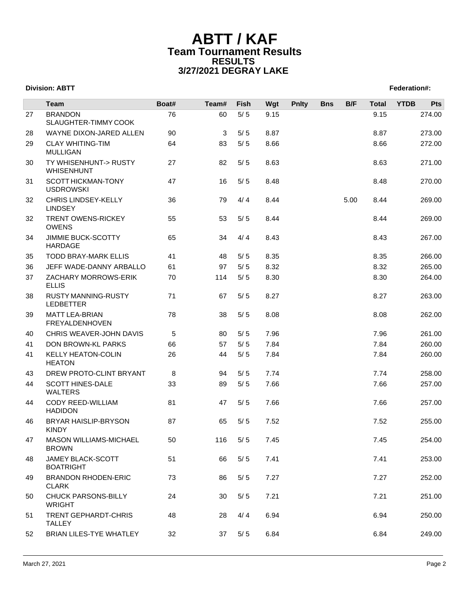|    | <b>Team</b>                                    | Boat# | Team# | Fish  | Wgt  | <b>Pnlty</b> | <b>Bns</b> | B/F  | <b>Total</b> | <b>YTDB</b> | Pts    |
|----|------------------------------------------------|-------|-------|-------|------|--------------|------------|------|--------------|-------------|--------|
| 27 | <b>BRANDON</b><br>SLAUGHTER-TIMMY COOK         | 76    | 60    | $5/5$ | 9.15 |              |            |      | 9.15         |             | 274.00 |
| 28 | WAYNE DIXON-JARED ALLEN                        | 90    | 3     | 5/5   | 8.87 |              |            |      | 8.87         |             | 273.00 |
| 29 | <b>CLAY WHITING-TIM</b><br><b>MULLIGAN</b>     | 64    | 83    | 5/5   | 8.66 |              |            |      | 8.66         |             | 272.00 |
| 30 | TY WHISENHUNT-> RUSTY<br>WHISENHUNT            | 27    | 82    | 5/5   | 8.63 |              |            |      | 8.63         |             | 271.00 |
| 31 | SCOTT HICKMAN-TONY<br><b>USDROWSKI</b>         | 47    | 16    | 5/5   | 8.48 |              |            |      | 8.48         |             | 270.00 |
| 32 | CHRIS LINDSEY-KELLY<br><b>LINDSEY</b>          | 36    | 79    | 4/4   | 8.44 |              |            | 5.00 | 8.44         |             | 269.00 |
| 32 | <b>TRENT OWENS-RICKEY</b><br><b>OWENS</b>      | 55    | 53    | 5/5   | 8.44 |              |            |      | 8.44         |             | 269.00 |
| 34 | JIMMIE BUCK-SCOTTY<br><b>HARDAGE</b>           | 65    | 34    | 4/4   | 8.43 |              |            |      | 8.43         |             | 267.00 |
| 35 | <b>TODD BRAY-MARK ELLIS</b>                    | 41    | 48    | 5/5   | 8.35 |              |            |      | 8.35         |             | 266.00 |
| 36 | JEFF WADE-DANNY ARBALLO                        | 61    | 97    | 5/5   | 8.32 |              |            |      | 8.32         |             | 265.00 |
| 37 | ZACHARY MORROWS-ERIK<br><b>ELLIS</b>           | 70    | 114   | 5/5   | 8.30 |              |            |      | 8.30         |             | 264.00 |
| 38 | <b>RUSTY MANNING-RUSTY</b><br><b>LEDBETTER</b> | 71    | 67    | 5/5   | 8.27 |              |            |      | 8.27         |             | 263.00 |
| 39 | <b>MATT LEA-BRIAN</b><br>FREYALDENHOVEN        | 78    | 38    | 5/5   | 8.08 |              |            |      | 8.08         |             | 262.00 |
| 40 | CHRIS WEAVER-JOHN DAVIS                        | 5     | 80    | 5/5   | 7.96 |              |            |      | 7.96         |             | 261.00 |
| 41 | DON BROWN-KL PARKS                             | 66    | 57    | 5/5   | 7.84 |              |            |      | 7.84         |             | 260.00 |
| 41 | <b>KELLY HEATON-COLIN</b><br><b>HEATON</b>     | 26    | 44    | 5/5   | 7.84 |              |            |      | 7.84         |             | 260.00 |
| 43 | DREW PROTO-CLINT BRYANT                        | 8     | 94    | 5/5   | 7.74 |              |            |      | 7.74         |             | 258.00 |
| 44 | <b>SCOTT HINES-DALE</b><br>WALTERS             | 33    | 89    | 5/5   | 7.66 |              |            |      | 7.66         |             | 257.00 |
| 44 | CODY REED-WILLIAM<br><b>HADIDON</b>            | 81    | 47    | 5/5   | 7.66 |              |            |      | 7.66         |             | 257.00 |
| 46 | BRYAR HAISLIP-BRYSON<br><b>KINDY</b>           | 87    | 65    | 5/5   | 7.52 |              |            |      | 7.52         |             | 255.00 |
| 47 | MASON WILLIAMS-MICHAEL<br><b>BROWN</b>         | 50    | 116   | 5/5   | 7.45 |              |            |      | 7.45         |             | 254.00 |
| 48 | JAMEY BLACK-SCOTT<br><b>BOATRIGHT</b>          | 51    | 66    | $5/5$ | 7.41 |              |            |      | 7.41         |             | 253.00 |
| 49 | <b>BRANDON RHODEN-ERIC</b><br><b>CLARK</b>     | 73    | 86    | $5/5$ | 7.27 |              |            |      | 7.27         |             | 252.00 |
| 50 | <b>CHUCK PARSONS-BILLY</b><br><b>WRIGHT</b>    | 24    | 30    | $5/5$ | 7.21 |              |            |      | 7.21         |             | 251.00 |
| 51 | TRENT GEPHARDT-CHRIS<br><b>TALLEY</b>          | 48    | 28    | 4/4   | 6.94 |              |            |      | 6.94         |             | 250.00 |
| 52 | BRIAN LILES-TYE WHATLEY                        | 32    | 37    | 5/5   | 6.84 |              |            |      | 6.84         |             | 249.00 |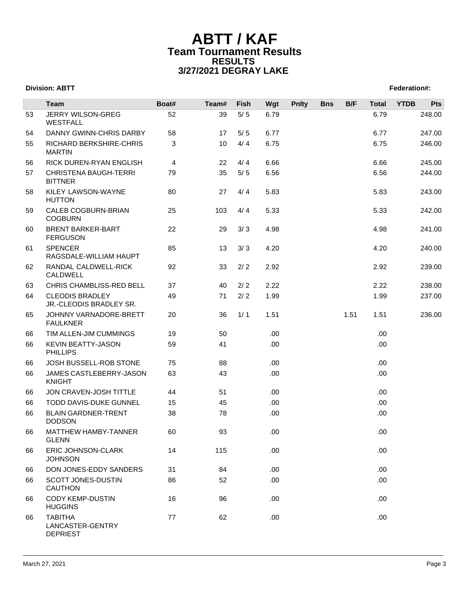|    | <b>Team</b>                                           | Boat# | Team# | Fish  | Wgt  | <b>Pnlty</b> | <b>Bns</b> | B/F  | <b>Total</b> | <b>YTDB</b> | Pts    |
|----|-------------------------------------------------------|-------|-------|-------|------|--------------|------------|------|--------------|-------------|--------|
| 53 | JERRY WILSON-GREG<br><b>WESTFALL</b>                  | 52    | 39    | $5/5$ | 6.79 |              |            |      | 6.79         |             | 248.00 |
| 54 | DANNY GWINN-CHRIS DARBY                               | 58    | 17    | 5/5   | 6.77 |              |            |      | 6.77         |             | 247.00 |
| 55 | RICHARD BERKSHIRE-CHRIS<br><b>MARTIN</b>              | 3     | 10    | 4/4   | 6.75 |              |            |      | 6.75         |             | 246.00 |
| 56 | RICK DUREN-RYAN ENGLISH                               | 4     | 22    | 4/4   | 6.66 |              |            |      | 6.66         |             | 245.00 |
| 57 | <b>CHRISTENA BAUGH-TERRI</b><br><b>BITTNER</b>        | 79    | 35    | $5/5$ | 6.56 |              |            |      | 6.56         |             | 244.00 |
| 58 | KILEY LAWSON-WAYNE<br><b>HUTTON</b>                   | 80    | 27    | 4/4   | 5.83 |              |            |      | 5.83         |             | 243.00 |
| 59 | CALEB COGBURN-BRIAN<br><b>COGBURN</b>                 | 25    | 103   | 4/4   | 5.33 |              |            |      | 5.33         |             | 242.00 |
| 60 | <b>BRENT BARKER-BART</b><br><b>FERGUSON</b>           | 22    | 29    | 3/3   | 4.98 |              |            |      | 4.98         |             | 241.00 |
| 61 | <b>SPENCER</b><br>RAGSDALE-WILLIAM HAUPT              | 85    | 13    | 3/3   | 4.20 |              |            |      | 4.20         |             | 240.00 |
| 62 | RANDAL CALDWELL-RICK<br>CALDWELL                      | 92    | 33    | 2/2   | 2.92 |              |            |      | 2.92         |             | 239.00 |
| 63 | CHRIS CHAMBLISS-RED BELL                              | 37    | 40    | 2/2   | 2.22 |              |            |      | 2.22         |             | 238.00 |
| 64 | <b>CLEODIS BRADLEY</b><br>JR.-CLEODIS BRADLEY SR.     | 49    | 71    | 2/2   | 1.99 |              |            |      | 1.99         |             | 237.00 |
| 65 | JOHNNY VARNADORE-BRETT<br><b>FAULKNER</b>             | 20    | 36    | 1/1   | 1.51 |              |            | 1.51 | 1.51         |             | 236.00 |
| 66 | TIM ALLEN-JIM CUMMINGS                                | 19    | 50    |       | .00  |              |            |      | .00.         |             |        |
| 66 | <b>KEVIN BEATTY-JASON</b><br><b>PHILLIPS</b>          | 59    | 41    |       | .00  |              |            |      | .00.         |             |        |
| 66 | JOSH BUSSELL-ROB STONE                                | 75    | 88    |       | .00  |              |            |      | .00.         |             |        |
| 66 | JAMES CASTLEBERRY-JASON<br><b>KNIGHT</b>              | 63    | 43    |       | .00  |              |            |      | .00.         |             |        |
| 66 | JON CRAVEN-JOSH TITTLE                                | 44    | 51    |       | .00  |              |            |      | .00.         |             |        |
| 66 | TODD DAVIS-DUKE GUNNEL                                | 15    | 45    |       | .00  |              |            |      | .00.         |             |        |
| 66 | <b>BLAIN GARDNER-TRENT</b><br><b>DODSON</b>           | 38    | 78    |       | .00  |              |            |      | .00.         |             |        |
| 66 | MATTHEW HAMBY-TANNER<br>GLENN                         | 60    | 93    |       | .00  |              |            |      | .00.         |             |        |
| 66 | ERIC JOHNSON-CLARK<br><b>JOHNSON</b>                  | 14    | 115   |       | .00  |              |            |      | .00.         |             |        |
| 66 | DON JONES-EDDY SANDERS                                | 31    | 84    |       | .00  |              |            |      | .00.         |             |        |
| 66 | SCOTT JONES-DUSTIN<br><b>CAUTHON</b>                  | 86    | 52    |       | .00  |              |            |      | .00.         |             |        |
| 66 | <b>CODY KEMP-DUSTIN</b><br><b>HUGGINS</b>             | 16    | 96    |       | .00  |              |            |      | .00.         |             |        |
| 66 | <b>TABITHA</b><br>LANCASTER-GENTRY<br><b>DEPRIEST</b> | 77    | 62    |       | .00  |              |            |      | .00.         |             |        |